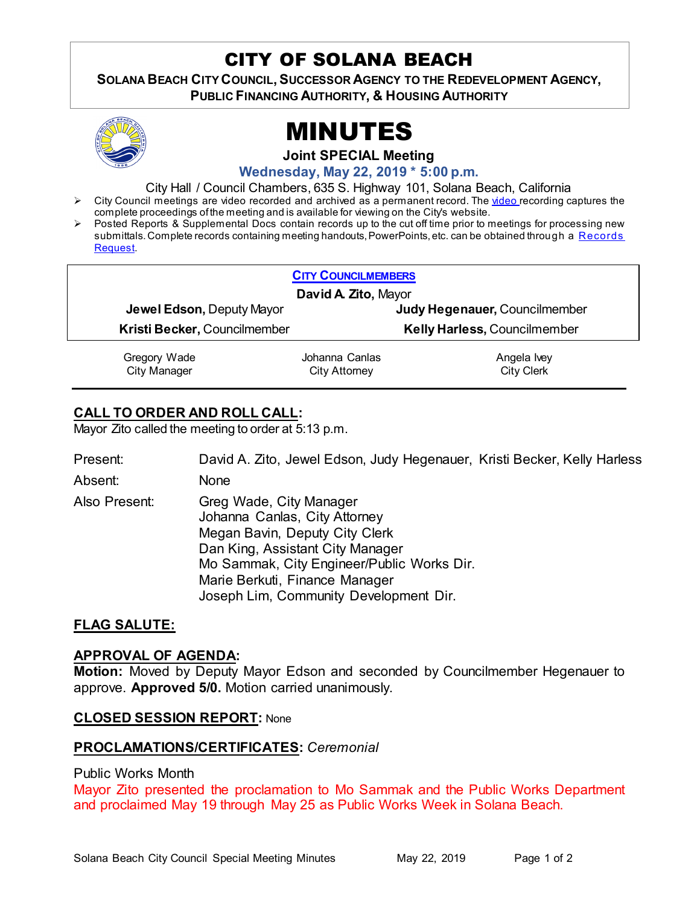# CITY OF SOLANA BEACH

SOLANA BEACH CITY COUNCIL, SUCCESSOR AGENCY TO THE REDEVELOPMENT AGENCY, **PUBLIC FINANCING AUTHORITY, & HOUSING AUTHORITY** 



# MINUTES

**Joint SPECIAL Meeting**

**Wednesday, May 22, 2019 \* 5:00 p.m.** 

City Hall / Council Chambers, 635 S. Highway 101, Solana Beach, California

- ≻ City Council meetings are [video re](https://solanabeach.12milesout.com/#page=1)corded and archived as a permanent record. The video recording captures the complete proceedings of the meeting and is available for viewing on the City's website.
- Posted Reports & Supplemental Docs contain records up to the cut off time prior to meetings for processing new submittals. Complete records containing meeting handouts, PowerPoints, etc. can be obtained through a Records [Request.](http://www.ci.solana-beach.ca.us/index.asp?SEC=F5D45D10-70CE-4291-A27C-7BD633FC6742&Type=B_BASIC)

| <b>CITY COUNCILMEMBERS</b>       |                      |                                     |
|----------------------------------|----------------------|-------------------------------------|
| David A Zito, Mayor              |                      |                                     |
| <b>Jewel Edson, Deputy Mayor</b> |                      | Judy Hegenauer, Councilmember       |
| Kristi Becker, Councilmember     |                      | <b>Kelly Harless, Councilmember</b> |
| Gregory Wade                     | Johanna Canlas       | Angela Ivey                         |
| <b>City Manager</b>              | <b>City Attorney</b> | <b>City Clerk</b>                   |

# **CALL TO ORDER AND ROLL CALL:**

Mayor Zito called the meeting to order at 5:13 p.m.

Present: David A. Zito, Jewel Edson, Judy Hegenauer, Kristi Becker, Kelly Harless

Absent: None

Also Present: Greg Wade, City Manager Johanna Canlas, City Attorney Megan Bavin, Deputy City Clerk Dan King, Assistant City Manager Mo Sammak, City Engineer/Public Works Dir. Marie Berkuti, Finance Manager Joseph Lim, Community Development Dir.

## **FLAG SALUTE:**

#### **APPROVAL OF AGENDA:**

**Motion:** Moved by Deputy Mayor Edson and seconded by Councilmember Hegenauer to approve. **Approved 5/0.** Motion carried unanimously.

#### **CLOSED SESSION REPORT:** None

#### **PROCLAMATIONS/CERTIFICATES:** *Ceremonial*

#### Public Works Month

Mayor Zito presented the proclamation to Mo Sammak and the Public Works Department and proclaimed May 19 through May 25 as Public Works Week in Solana Beach.